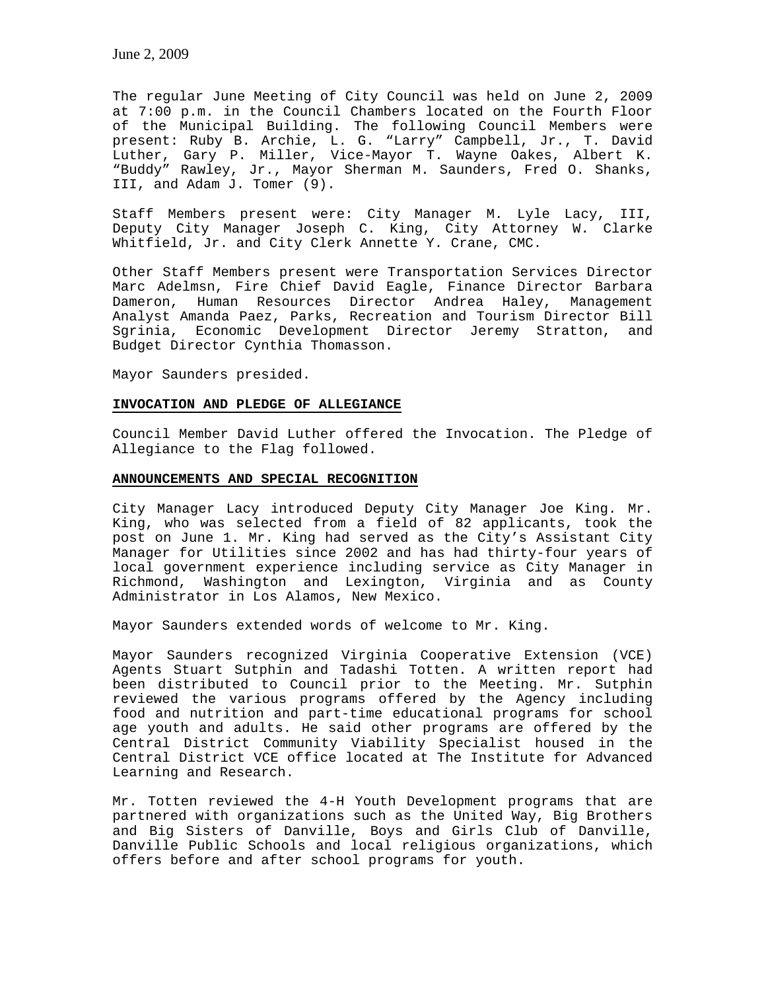The regular June Meeting of City Council was held on June 2, 2009 at 7:00 p.m. in the Council Chambers located on the Fourth Floor of the Municipal Building. The following Council Members were present: Ruby B. Archie, L. G. "Larry" Campbell, Jr., T. David Luther, Gary P. Miller, Vice-Mayor T. Wayne Oakes, Albert K. "Buddy" Rawley, Jr., Mayor Sherman M. Saunders, Fred O. Shanks, III, and Adam J. Tomer (9).

Staff Members present were: City Manager M. Lyle Lacy, III, Deputy City Manager Joseph C. King, City Attorney W. Clarke Whitfield, Jr. and City Clerk Annette Y. Crane, CMC.

Other Staff Members present were Transportation Services Director Marc Adelmsn, Fire Chief David Eagle, Finance Director Barbara Dameron, Human Resources Director Andrea Haley, Management Analyst Amanda Paez, Parks, Recreation and Tourism Director Bill Sgrinia, Economic Development Director Jeremy Stratton, and Budget Director Cynthia Thomasson.

Mayor Saunders presided.

### **INVOCATION AND PLEDGE OF ALLEGIANCE**

Council Member David Luther offered the Invocation. The Pledge of Allegiance to the Flag followed.

### **ANNOUNCEMENTS AND SPECIAL RECOGNITION**

City Manager Lacy introduced Deputy City Manager Joe King. Mr. King, who was selected from a field of 82 applicants, took the post on June 1. Mr. King had served as the City's Assistant City Manager for Utilities since 2002 and has had thirty-four years of local government experience including service as City Manager in Richmond, Washington and Lexington, Virginia and as County Administrator in Los Alamos, New Mexico.

Mayor Saunders extended words of welcome to Mr. King.

Mayor Saunders recognized Virginia Cooperative Extension (VCE) Agents Stuart Sutphin and Tadashi Totten. A written report had been distributed to Council prior to the Meeting. Mr. Sutphin reviewed the various programs offered by the Agency including food and nutrition and part-time educational programs for school age youth and adults. He said other programs are offered by the Central District Community Viability Specialist housed in the Central District VCE office located at The Institute for Advanced Learning and Research.

Mr. Totten reviewed the 4-H Youth Development programs that are partnered with organizations such as the United Way, Big Brothers and Big Sisters of Danville, Boys and Girls Club of Danville, Danville Public Schools and local religious organizations, which offers before and after school programs for youth.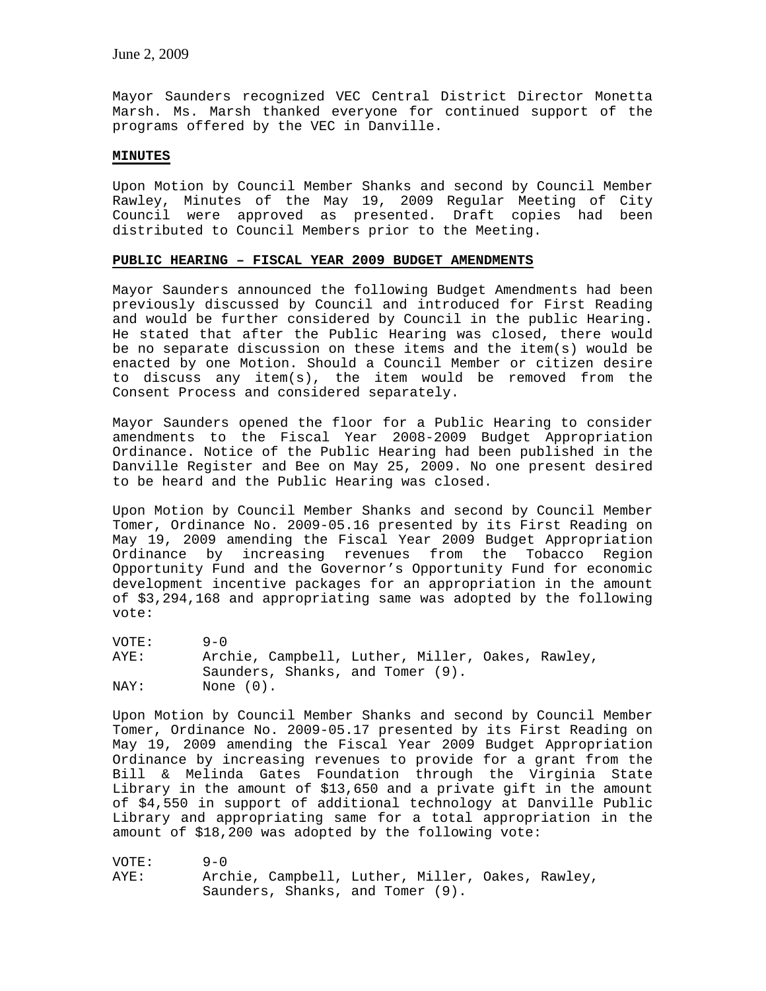Mayor Saunders recognized VEC Central District Director Monetta Marsh. Ms. Marsh thanked everyone for continued support of the programs offered by the VEC in Danville.

# **MINUTES**

Upon Motion by Council Member Shanks and second by Council Member Rawley, Minutes of the May 19, 2009 Regular Meeting of City Council were approved as presented. Draft copies had been distributed to Council Members prior to the Meeting.

# **PUBLIC HEARING – FISCAL YEAR 2009 BUDGET AMENDMENTS**

Mayor Saunders announced the following Budget Amendments had been previously discussed by Council and introduced for First Reading and would be further considered by Council in the public Hearing. He stated that after the Public Hearing was closed, there would be no separate discussion on these items and the item(s) would be enacted by one Motion. Should a Council Member or citizen desire to discuss any item(s), the item would be removed from the Consent Process and considered separately.

Mayor Saunders opened the floor for a Public Hearing to consider amendments to the Fiscal Year 2008-2009 Budget Appropriation Ordinance. Notice of the Public Hearing had been published in the Danville Register and Bee on May 25, 2009. No one present desired to be heard and the Public Hearing was closed.

Upon Motion by Council Member Shanks and second by Council Member Tomer, Ordinance No. 2009-05.16 presented by its First Reading on May 19, 2009 amending the Fiscal Year 2009 Budget Appropriation Ordinance by increasing revenues from the Tobacco Region Opportunity Fund and the Governor's Opportunity Fund for economic development incentive packages for an appropriation in the amount of \$3,294,168 and appropriating same was adopted by the following vote:

| VOTE: | $9 - 0$                                          |  |
|-------|--------------------------------------------------|--|
| AYE:  | Archie, Campbell, Luther, Miller, Oakes, Rawley, |  |
|       | Saunders, Shanks, and Tomer (9).                 |  |
| NAY:  | None $(0)$ .                                     |  |

Upon Motion by Council Member Shanks and second by Council Member Tomer, Ordinance No. 2009-05.17 presented by its First Reading on May 19, 2009 amending the Fiscal Year 2009 Budget Appropriation Ordinance by increasing revenues to provide for a grant from the Bill & Melinda Gates Foundation through the Virginia State Library in the amount of \$13,650 and a private gift in the amount of \$4,550 in support of additional technology at Danville Public Library and appropriating same for a total appropriation in the amount of \$18,200 was adopted by the following vote:

VOTE: 9-0 AYE: Archie, Campbell, Luther, Miller, Oakes, Rawley, Saunders, Shanks, and Tomer (9).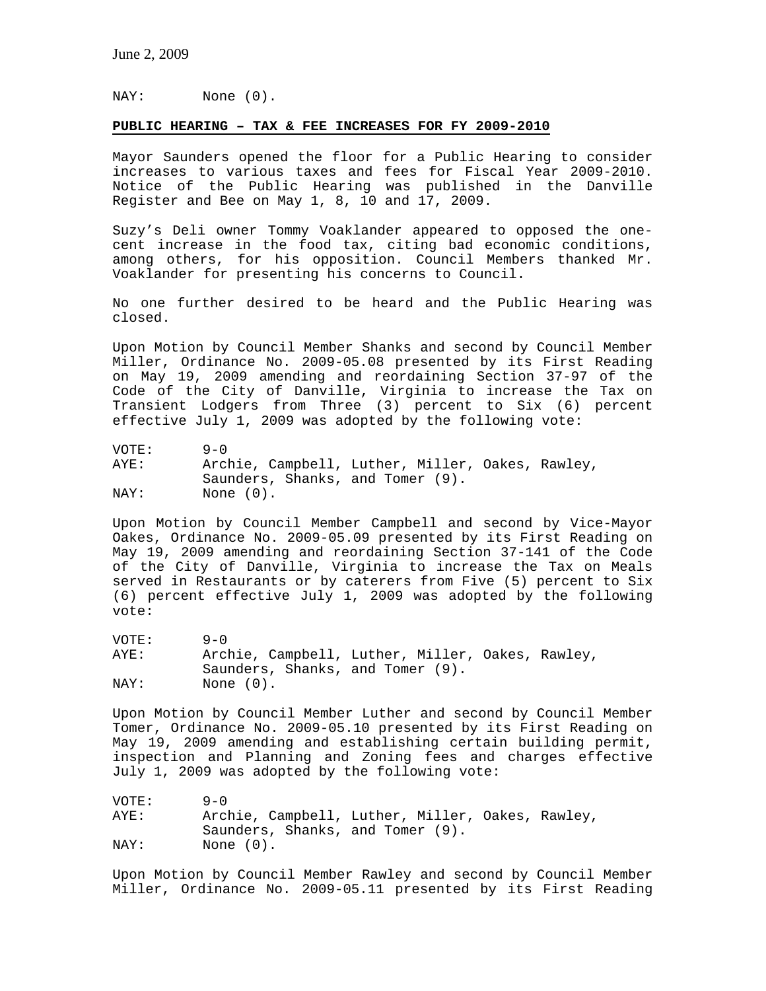NAY: None (0).

# **PUBLIC HEARING – TAX & FEE INCREASES FOR FY 2009-2010**

Mayor Saunders opened the floor for a Public Hearing to consider increases to various taxes and fees for Fiscal Year 2009-2010. Notice of the Public Hearing was published in the Danville Register and Bee on May 1, 8, 10 and 17, 2009.

Suzy's Deli owner Tommy Voaklander appeared to opposed the onecent increase in the food tax, citing bad economic conditions, among others, for his opposition. Council Members thanked Mr. Voaklander for presenting his concerns to Council.

No one further desired to be heard and the Public Hearing was closed.

Upon Motion by Council Member Shanks and second by Council Member Miller, Ordinance No. 2009-05.08 presented by its First Reading on May 19, 2009 amending and reordaining Section 37-97 of the Code of the City of Danville, Virginia to increase the Tax on Transient Lodgers from Three (3) percent to Six (6) percent effective July 1, 2009 was adopted by the following vote:

VOTE: 9-0 AYE: Archie, Campbell, Luther, Miller, Oakes, Rawley, Saunders, Shanks, and Tomer (9). NAY: None (0).

Upon Motion by Council Member Campbell and second by Vice-Mayor Oakes, Ordinance No. 2009-05.09 presented by its First Reading on May 19, 2009 amending and reordaining Section 37-141 of the Code of the City of Danville, Virginia to increase the Tax on Meals served in Restaurants or by caterers from Five (5) percent to Six (6) percent effective July 1, 2009 was adopted by the following vote:

VOTE: 9-0 AYE: Archie, Campbell, Luther, Miller, Oakes, Rawley, Saunders, Shanks, and Tomer (9). NAY: None (0).

Upon Motion by Council Member Luther and second by Council Member Tomer, Ordinance No. 2009-05.10 presented by its First Reading on May 19, 2009 amending and establishing certain building permit, inspection and Planning and Zoning fees and charges effective July 1, 2009 was adopted by the following vote:

VOTE: 9-0 AYE: Archie, Campbell, Luther, Miller, Oakes, Rawley, Saunders, Shanks, and Tomer (9). NAY: None (0).

Upon Motion by Council Member Rawley and second by Council Member Miller, Ordinance No. 2009-05.11 presented by its First Reading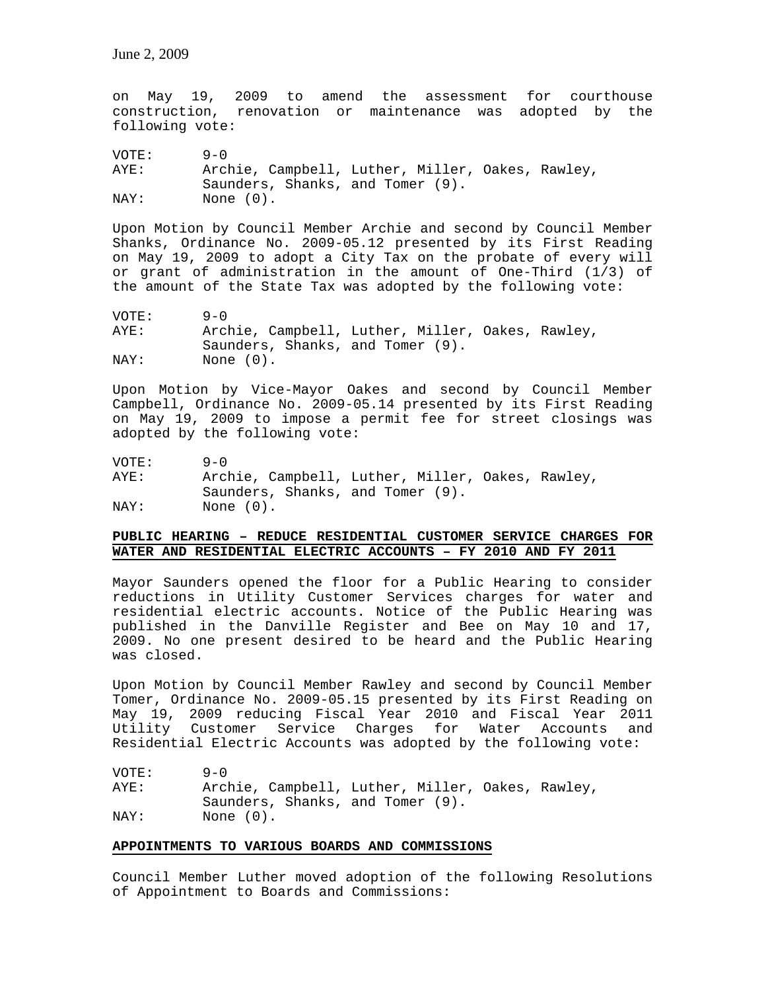on May 19, 2009 to amend the assessment for courthouse construction, renovation or maintenance was adopted by the following vote:

VOTE: 9-0 AYE: Archie, Campbell, Luther, Miller, Oakes, Rawley, Saunders, Shanks, and Tomer (9).<br>NAY: None (0). None  $(0)$ .

Upon Motion by Council Member Archie and second by Council Member Shanks, Ordinance No. 2009-05.12 presented by its First Reading on May 19, 2009 to adopt a City Tax on the probate of every will or grant of administration in the amount of One-Third (1/3) of the amount of the State Tax was adopted by the following vote:

| VOTE: | $9 - 0$                                          |
|-------|--------------------------------------------------|
| AYE:  | Archie, Campbell, Luther, Miller, Oakes, Rawley, |
|       | Saunders, Shanks, and Tomer (9).                 |
| NAY:  | None (0).                                        |

Upon Motion by Vice-Mayor Oakes and second by Council Member Campbell, Ordinance No. 2009-05.14 presented by its First Reading on May 19, 2009 to impose a permit fee for street closings was adopted by the following vote:

VOTE: 9-0 AYE: Archie, Campbell, Luther, Miller, Oakes, Rawley, Saunders, Shanks, and Tomer (9). NAY: None (0).

# **PUBLIC HEARING – REDUCE RESIDENTIAL CUSTOMER SERVICE CHARGES FOR WATER AND RESIDENTIAL ELECTRIC ACCOUNTS – FY 2010 AND FY 2011**

Mayor Saunders opened the floor for a Public Hearing to consider reductions in Utility Customer Services charges for water and residential electric accounts. Notice of the Public Hearing was published in the Danville Register and Bee on May 10 and 17, 2009. No one present desired to be heard and the Public Hearing was closed.

Upon Motion by Council Member Rawley and second by Council Member Tomer, Ordinance No. 2009-05.15 presented by its First Reading on May 19, 2009 reducing Fiscal Year 2010 and Fiscal Year 2011 Utility Customer Service Charges for Water Accounts and Residential Electric Accounts was adopted by the following vote:

VOTE: 9-0 AYE: Archie, Campbell, Luther, Miller, Oakes, Rawley, Saunders, Shanks, and Tomer (9). NAY: None  $(0)$ .

# **APPOINTMENTS TO VARIOUS BOARDS AND COMMISSIONS**

Council Member Luther moved adoption of the following Resolutions of Appointment to Boards and Commissions: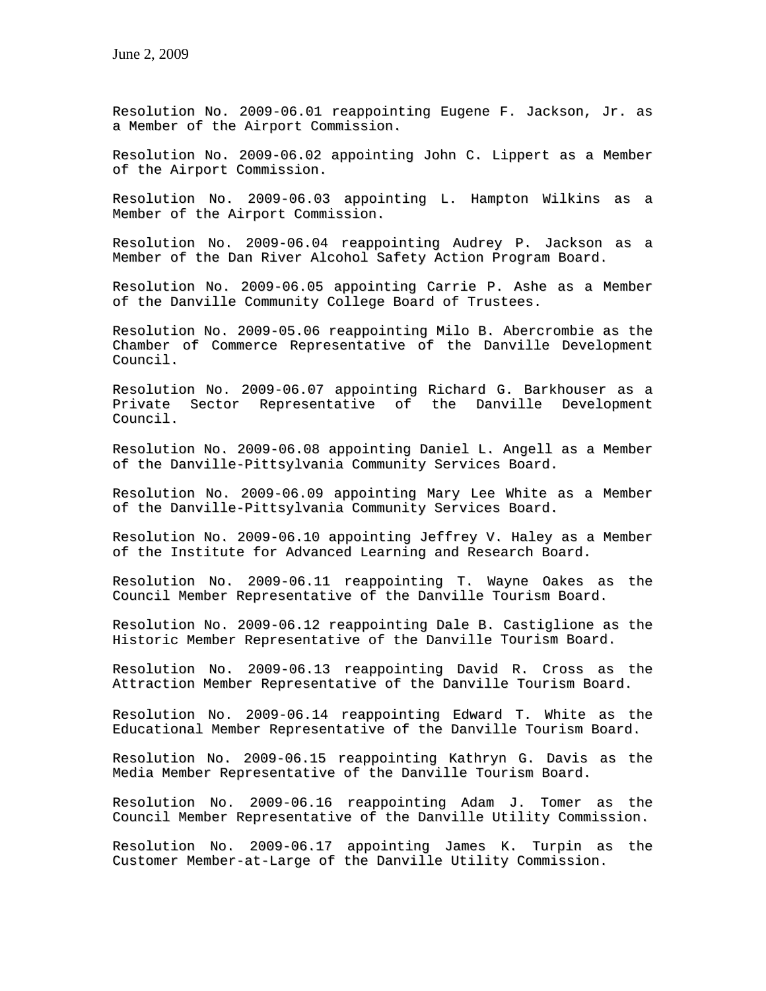Resolution No. 2009-06.01 reappointing Eugene F. Jackson, Jr. as a Member of the Airport Commission.

Resolution No. 2009-06.02 appointing John C. Lippert as a Member of the Airport Commission.

Resolution No. 2009-06.03 appointing L. Hampton Wilkins as a Member of the Airport Commission.

Resolution No. 2009-06.04 reappointing Audrey P. Jackson as a Member of the Dan River Alcohol Safety Action Program Board.

Resolution No. 2009-06.05 appointing Carrie P. Ashe as a Member of the Danville Community College Board of Trustees.

Resolution No. 2009-05.06 reappointing Milo B. Abercrombie as the Chamber of Commerce Representative of the Danville Development Council.

Resolution No. 2009-06.07 appointing Richard G. Barkhouser as a Private Sector Representative of the Danville Development Council.

Resolution No. 2009-06.08 appointing Daniel L. Angell as a Member of the Danville-Pittsylvania Community Services Board.

Resolution No. 2009-06.09 appointing Mary Lee White as a Member of the Danville-Pittsylvania Community Services Board.

Resolution No. 2009-06.10 appointing Jeffrey V. Haley as a Member of the Institute for Advanced Learning and Research Board.

Resolution No. 2009-06.11 reappointing T. Wayne Oakes as the Council Member Representative of the Danville Tourism Board.

Resolution No. 2009-06.12 reappointing Dale B. Castiglione as the Historic Member Representative of the Danville Tourism Board.

Resolution No. 2009-06.13 reappointing David R. Cross as the Attraction Member Representative of the Danville Tourism Board.

Resolution No. 2009-06.14 reappointing Edward T. White as the Educational Member Representative of the Danville Tourism Board.

Resolution No. 2009-06.15 reappointing Kathryn G. Davis as the Media Member Representative of the Danville Tourism Board.

Resolution No. 2009-06.16 reappointing Adam J. Tomer as the Council Member Representative of the Danville Utility Commission.

Resolution No. 2009-06.17 appointing James K. Turpin as the Customer Member-at-Large of the Danville Utility Commission.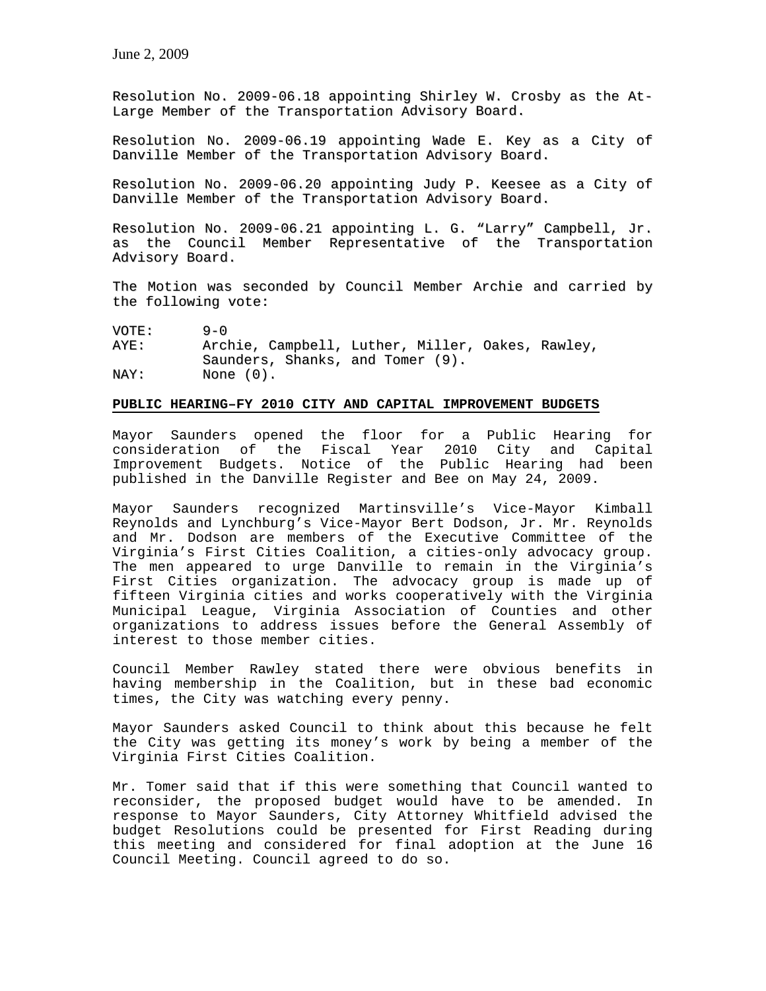Resolution No. 2009-06.18 appointing Shirley W. Crosby as the At-Large Member of the Transportation Advisory Board.

Resolution No. 2009-06.19 appointing Wade E. Key as a City of Danville Member of the Transportation Advisory Board.

Resolution No. 2009-06.20 appointing Judy P. Keesee as a City of Danville Member of the Transportation Advisory Board.

Resolution No. 2009-06.21 appointing L. G. "Larry" Campbell, Jr. as the Council Member Representative of the Transportation Advisory Board.

The Motion was seconded by Council Member Archie and carried by the following vote:

VOTE: 9-0<br>AYE: Arc! Archie, Campbell, Luther, Miller, Oakes, Rawley, Saunders, Shanks, and Tomer (9). NAY: None (0).

### **PUBLIC HEARING–FY 2010 CITY AND CAPITAL IMPROVEMENT BUDGETS**

Mayor Saunders opened the floor for a Public Hearing for consideration of the Fiscal Year 2010 City and Capital Improvement Budgets. Notice of the Public Hearing had been published in the Danville Register and Bee on May 24, 2009.

Mayor Saunders recognized Martinsville's Vice-Mayor Kimball Reynolds and Lynchburg's Vice-Mayor Bert Dodson, Jr. Mr. Reynolds and Mr. Dodson are members of the Executive Committee of the Virginia's First Cities Coalition, a cities-only advocacy group. The men appeared to urge Danville to remain in the Virginia's First Cities organization. The advocacy group is made up of fifteen Virginia cities and works cooperatively with the Virginia Municipal League, Virginia Association of Counties and other organizations to address issues before the General Assembly of interest to those member cities.

Council Member Rawley stated there were obvious benefits in having membership in the Coalition, but in these bad economic times, the City was watching every penny.

Mayor Saunders asked Council to think about this because he felt the City was getting its money's work by being a member of the Virginia First Cities Coalition.

Mr. Tomer said that if this were something that Council wanted to reconsider, the proposed budget would have to be amended. In response to Mayor Saunders, City Attorney Whitfield advised the budget Resolutions could be presented for First Reading during this meeting and considered for final adoption at the June 16 Council Meeting. Council agreed to do so.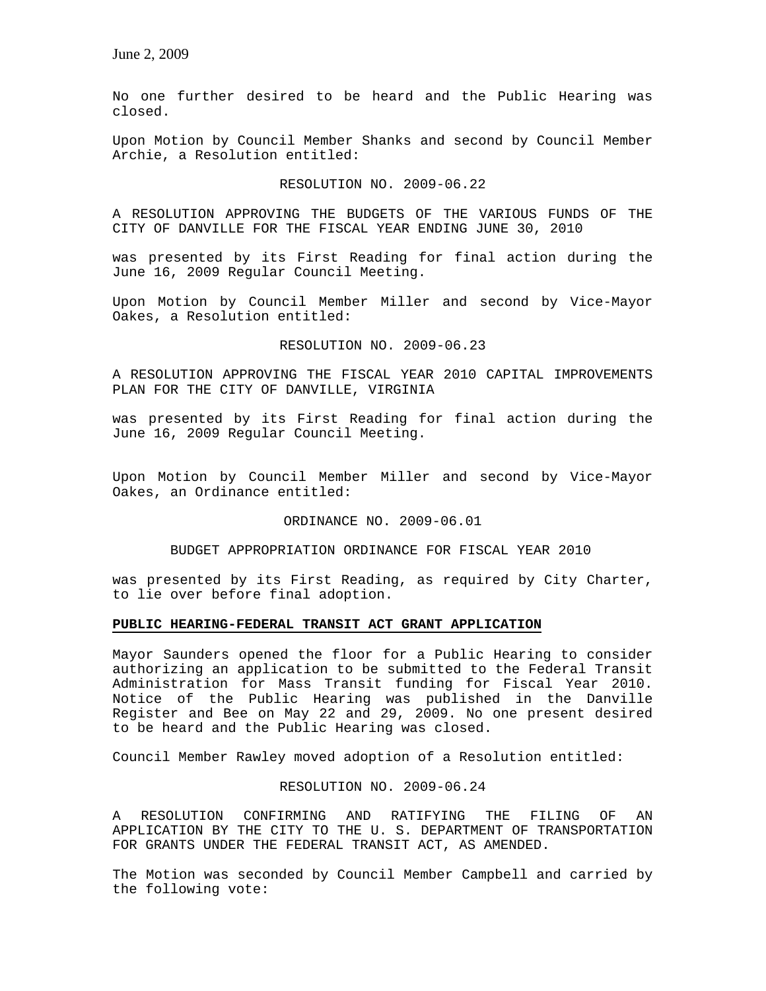No one further desired to be heard and the Public Hearing was closed.

Upon Motion by Council Member Shanks and second by Council Member Archie, a Resolution entitled:

RESOLUTION NO. 2009-06.22

A RESOLUTION APPROVING THE BUDGETS OF THE VARIOUS FUNDS OF THE CITY OF DANVILLE FOR THE FISCAL YEAR ENDING JUNE 30, 2010

was presented by its First Reading for final action during the June 16, 2009 Regular Council Meeting.

Upon Motion by Council Member Miller and second by Vice-Mayor Oakes, a Resolution entitled:

RESOLUTION NO. 2009-06.23

A RESOLUTION APPROVING THE FISCAL YEAR 2010 CAPITAL IMPROVEMENTS PLAN FOR THE CITY OF DANVILLE, VIRGINIA

was presented by its First Reading for final action during the June 16, 2009 Regular Council Meeting.

Upon Motion by Council Member Miller and second by Vice-Mayor Oakes, an Ordinance entitled:

ORDINANCE NO. 2009-06.01

BUDGET APPROPRIATION ORDINANCE FOR FISCAL YEAR 2010

was presented by its First Reading, as required by City Charter, to lie over before final adoption.

# **PUBLIC HEARING-FEDERAL TRANSIT ACT GRANT APPLICATION**

Mayor Saunders opened the floor for a Public Hearing to consider authorizing an application to be submitted to the Federal Transit Administration for Mass Transit funding for Fiscal Year 2010. Notice of the Public Hearing was published in the Danville Register and Bee on May 22 and 29, 2009. No one present desired to be heard and the Public Hearing was closed.

Council Member Rawley moved adoption of a Resolution entitled:

# RESOLUTION NO. 2009-06.24

A RESOLUTION CONFIRMING AND RATIFYING THE FILING OF AN APPLICATION BY THE CITY TO THE U. S. DEPARTMENT OF TRANSPORTATION FOR GRANTS UNDER THE FEDERAL TRANSIT ACT, AS AMENDED.

The Motion was seconded by Council Member Campbell and carried by the following vote: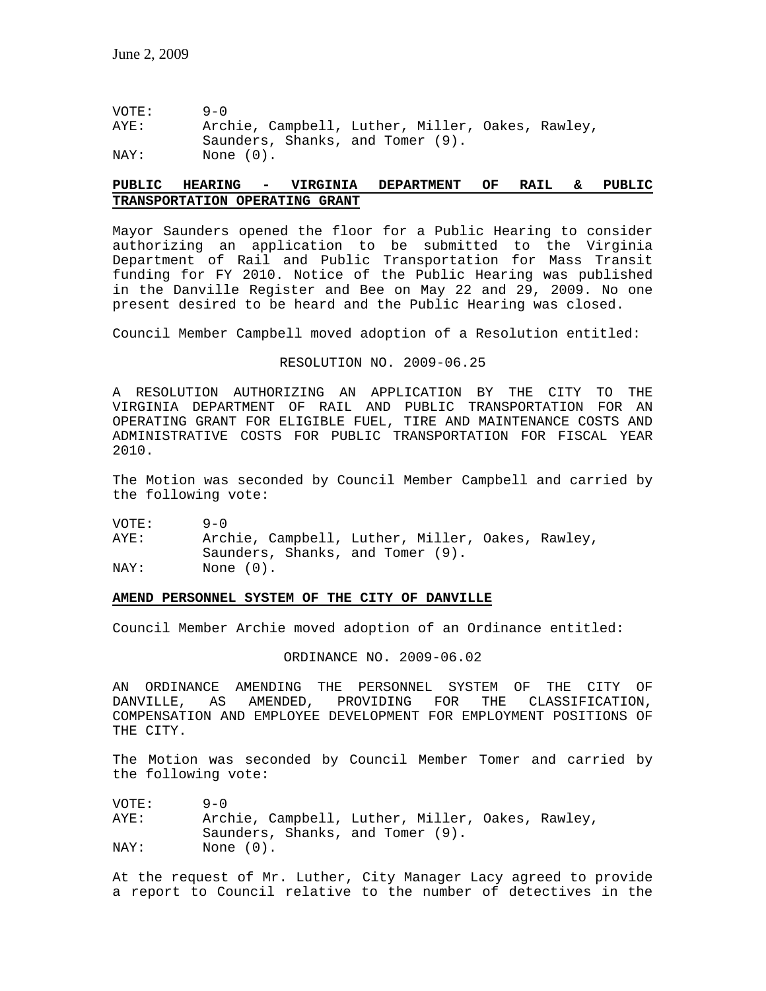VOTE: 9-0 AYE: Archie, Campbell, Luther, Miller, Oakes, Rawley, Saunders, Shanks, and Tomer (9). NAY: None (0).

# **PUBLIC HEARING - VIRGINIA DEPARTMENT OF RAIL & PUBLIC TRANSPORTATION OPERATING GRANT**

Mayor Saunders opened the floor for a Public Hearing to consider authorizing an application to be submitted to the Virginia Department of Rail and Public Transportation for Mass Transit funding for FY 2010. Notice of the Public Hearing was published in the Danville Register and Bee on May 22 and 29, 2009. No one present desired to be heard and the Public Hearing was closed.

Council Member Campbell moved adoption of a Resolution entitled:

#### RESOLUTION NO. 2009-06.25

A RESOLUTION AUTHORIZING AN APPLICATION BY THE CITY TO THE VIRGINIA DEPARTMENT OF RAIL AND PUBLIC TRANSPORTATION FOR AN OPERATING GRANT FOR ELIGIBLE FUEL, TIRE AND MAINTENANCE COSTS AND ADMINISTRATIVE COSTS FOR PUBLIC TRANSPORTATION FOR FISCAL YEAR 2010.

The Motion was seconded by Council Member Campbell and carried by the following vote:

VOTE: 9-0

AYE: Archie, Campbell, Luther, Miller, Oakes, Rawley, Saunders, Shanks, and Tomer (9). NAY: None  $(0)$ .

#### **AMEND PERSONNEL SYSTEM OF THE CITY OF DANVILLE**

Council Member Archie moved adoption of an Ordinance entitled:

ORDINANCE NO. 2009-06.02

AN ORDINANCE AMENDING THE PERSONNEL SYSTEM OF THE CITY OF<br>DANVILLE, AS AMENDED, PROVIDING FOR THE CLASSIFICATION, DANVILLE, AS AMENDED, PROVIDING FOR THE CLASSIFICATION, COMPENSATION AND EMPLOYEE DEVELOPMENT FOR EMPLOYMENT POSITIONS OF THE CITY.

The Motion was seconded by Council Member Tomer and carried by the following vote:

VOTE: 9-0 AYE: Archie, Campbell, Luther, Miller, Oakes, Rawley, Saunders, Shanks, and Tomer (9). NAY: None (0).

At the request of Mr. Luther, City Manager Lacy agreed to provide a report to Council relative to the number of detectives in the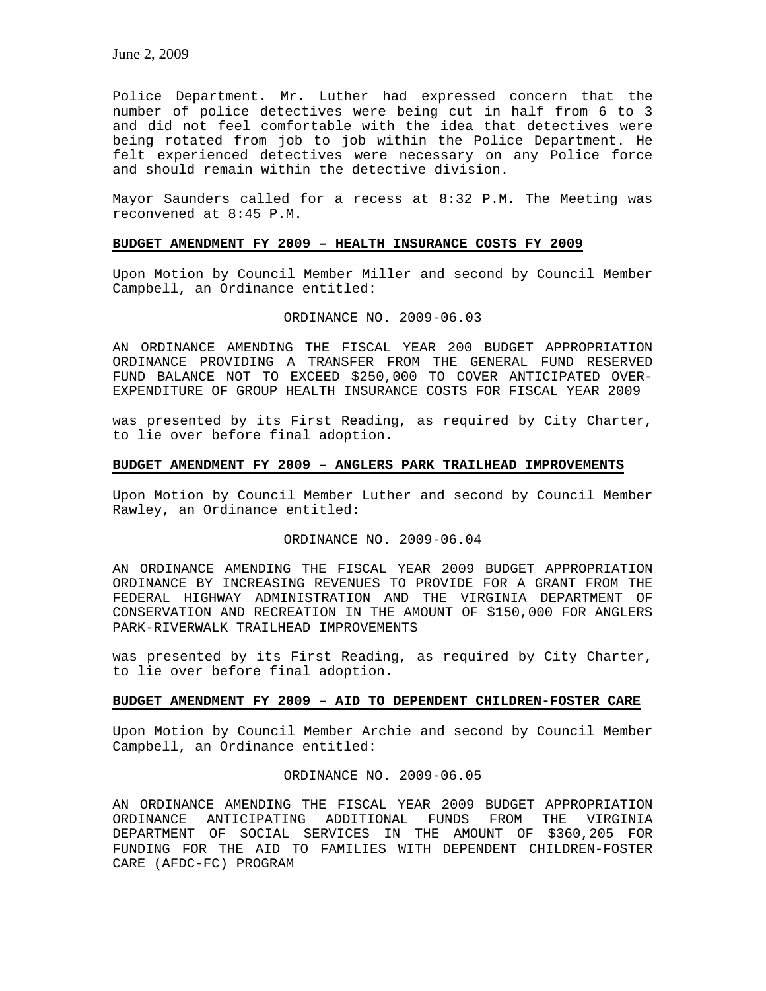Police Department. Mr. Luther had expressed concern that the number of police detectives were being cut in half from 6 to 3 and did not feel comfortable with the idea that detectives were being rotated from job to job within the Police Department. He felt experienced detectives were necessary on any Police force and should remain within the detective division.

Mayor Saunders called for a recess at 8:32 P.M. The Meeting was reconvened at 8:45 P.M.

### **BUDGET AMENDMENT FY 2009 – HEALTH INSURANCE COSTS FY 2009**

Upon Motion by Council Member Miller and second by Council Member Campbell, an Ordinance entitled:

#### ORDINANCE NO. 2009-06.03

AN ORDINANCE AMENDING THE FISCAL YEAR 200 BUDGET APPROPRIATION ORDINANCE PROVIDING A TRANSFER FROM THE GENERAL FUND RESERVED FUND BALANCE NOT TO EXCEED \$250,000 TO COVER ANTICIPATED OVER-EXPENDITURE OF GROUP HEALTH INSURANCE COSTS FOR FISCAL YEAR 2009

was presented by its First Reading, as required by City Charter, to lie over before final adoption.

# **BUDGET AMENDMENT FY 2009 – ANGLERS PARK TRAILHEAD IMPROVEMENTS**

Upon Motion by Council Member Luther and second by Council Member Rawley, an Ordinance entitled:

### ORDINANCE NO. 2009-06.04

AN ORDINANCE AMENDING THE FISCAL YEAR 2009 BUDGET APPROPRIATION ORDINANCE BY INCREASING REVENUES TO PROVIDE FOR A GRANT FROM THE FEDERAL HIGHWAY ADMINISTRATION AND THE VIRGINIA DEPARTMENT OF CONSERVATION AND RECREATION IN THE AMOUNT OF \$150,000 FOR ANGLERS PARK-RIVERWALK TRAILHEAD IMPROVEMENTS

was presented by its First Reading, as required by City Charter, to lie over before final adoption.

# **BUDGET AMENDMENT FY 2009 – AID TO DEPENDENT CHILDREN-FOSTER CARE**

Upon Motion by Council Member Archie and second by Council Member Campbell, an Ordinance entitled:

ORDINANCE NO. 2009-06.05

AN ORDINANCE AMENDING THE FISCAL YEAR 2009 BUDGET APPROPRIATION ORDINANCE ANTICIPATING ADDITIONAL FUNDS FROM THE VIRGINIA DEPARTMENT OF SOCIAL SERVICES IN THE AMOUNT OF \$360,205 FOR FUNDING FOR THE AID TO FAMILIES WITH DEPENDENT CHILDREN-FOSTER CARE (AFDC-FC) PROGRAM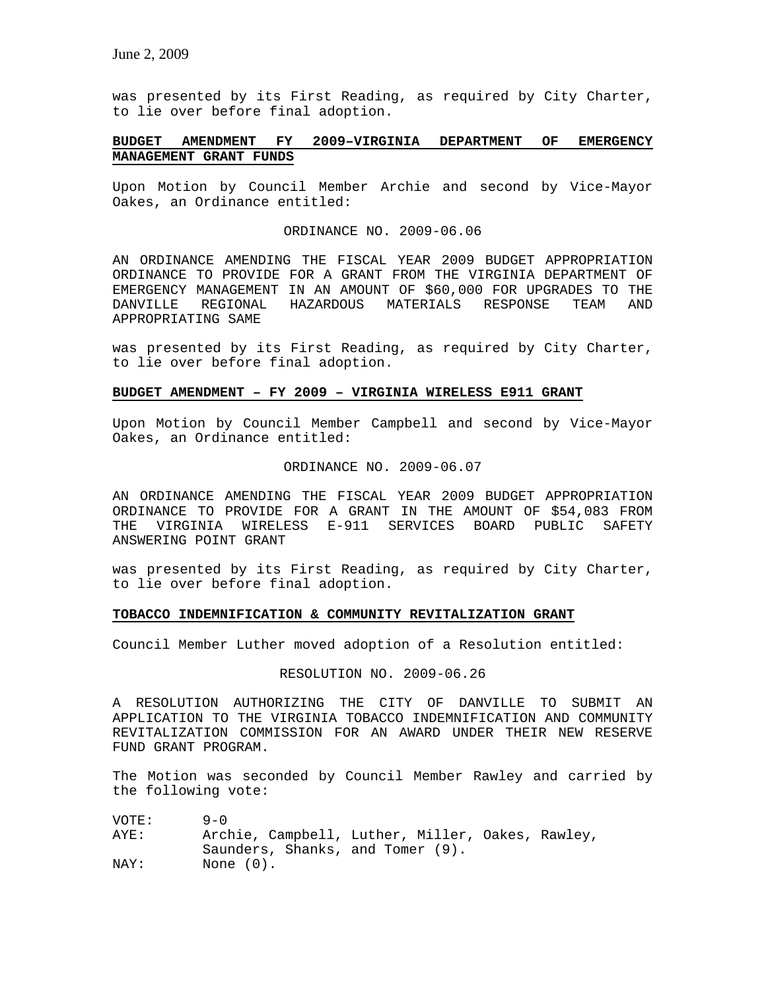was presented by its First Reading, as required by City Charter, to lie over before final adoption.

# **BUDGET AMENDMENT FY 2009–VIRGINIA DEPARTMENT OF EMERGENCY MANAGEMENT GRANT FUNDS**

Upon Motion by Council Member Archie and second by Vice-Mayor Oakes, an Ordinance entitled:

# ORDINANCE NO. 2009-06.06

AN ORDINANCE AMENDING THE FISCAL YEAR 2009 BUDGET APPROPRIATION ORDINANCE TO PROVIDE FOR A GRANT FROM THE VIRGINIA DEPARTMENT OF EMERGENCY MANAGEMENT IN AN AMOUNT OF \$60,000 FOR UPGRADES TO THE DANVILLE REGIONAL HAZARDOUS MATERIALS RESPONSE TEAM AND APPROPRIATING SAME

was presented by its First Reading, as required by City Charter, to lie over before final adoption.

### **BUDGET AMENDMENT – FY 2009 – VIRGINIA WIRELESS E911 GRANT**

Upon Motion by Council Member Campbell and second by Vice-Mayor Oakes, an Ordinance entitled:

#### ORDINANCE NO. 2009-06.07

AN ORDINANCE AMENDING THE FISCAL YEAR 2009 BUDGET APPROPRIATION ORDINANCE TO PROVIDE FOR A GRANT IN THE AMOUNT OF \$54,083 FROM THE VIRGINIA WIRELESS E-911 SERVICES BOARD PUBLIC SAFETY ANSWERING POINT GRANT

was presented by its First Reading, as required by City Charter, to lie over before final adoption.

### **TOBACCO INDEMNIFICATION & COMMUNITY REVITALIZATION GRANT**

Council Member Luther moved adoption of a Resolution entitled:

# RESOLUTION NO. 2009-06.26

A RESOLUTION AUTHORIZING THE CITY OF DANVILLE TO SUBMIT AN APPLICATION TO THE VIRGINIA TOBACCO INDEMNIFICATION AND COMMUNITY REVITALIZATION COMMISSION FOR AN AWARD UNDER THEIR NEW RESERVE FUND GRANT PROGRAM.

The Motion was seconded by Council Member Rawley and carried by the following vote:

| VOTE: | $9 - 0$                                          |
|-------|--------------------------------------------------|
| AYE:  | Archie, Campbell, Luther, Miller, Oakes, Rawley, |
|       | Saunders, Shanks, and Tomer (9).                 |
| NAY:  | None $(0)$ .                                     |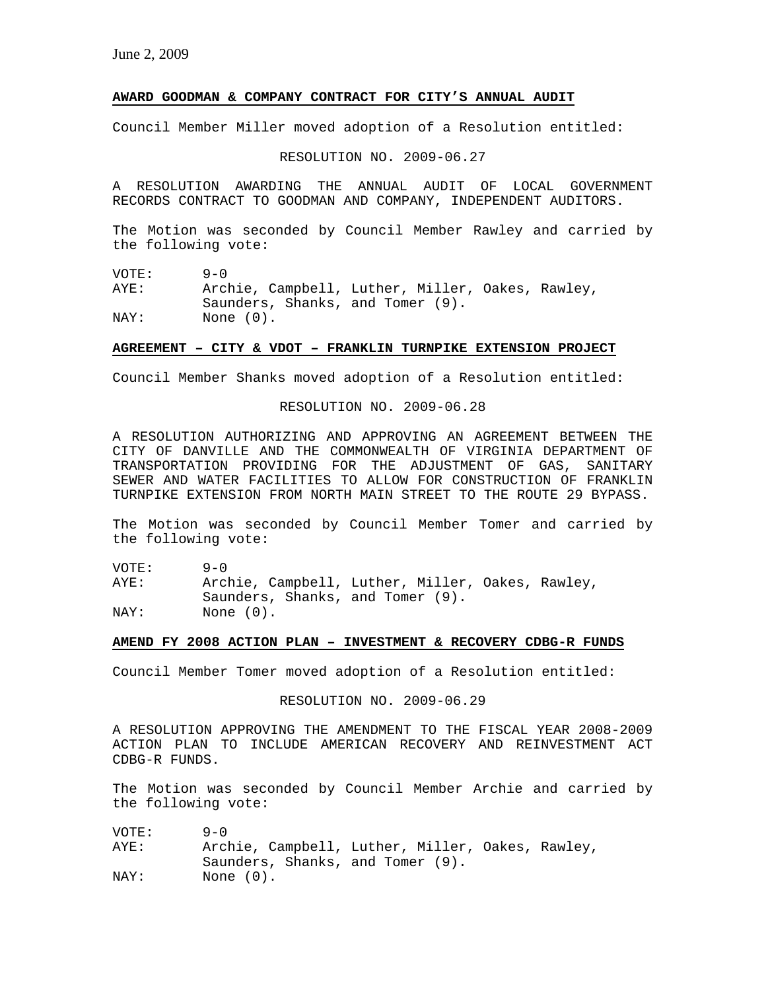# **AWARD GOODMAN & COMPANY CONTRACT FOR CITY'S ANNUAL AUDIT**

Council Member Miller moved adoption of a Resolution entitled:

RESOLUTION NO. 2009-06.27

A RESOLUTION AWARDING THE ANNUAL AUDIT OF LOCAL GOVERNMENT RECORDS CONTRACT TO GOODMAN AND COMPANY, INDEPENDENT AUDITORS.

The Motion was seconded by Council Member Rawley and carried by the following vote:

VOTE: 9-0<br>AYE: Arcl Archie, Campbell, Luther, Miller, Oakes, Rawley, Saunders, Shanks, and Tomer (9). NAY: None  $(0)$ .

#### **AGREEMENT – CITY & VDOT – FRANKLIN TURNPIKE EXTENSION PROJECT**

Council Member Shanks moved adoption of a Resolution entitled:

RESOLUTION NO. 2009-06.28

A RESOLUTION AUTHORIZING AND APPROVING AN AGREEMENT BETWEEN THE CITY OF DANVILLE AND THE COMMONWEALTH OF VIRGINIA DEPARTMENT OF TRANSPORTATION PROVIDING FOR THE ADJUSTMENT OF GAS, SANITARY SEWER AND WATER FACILITIES TO ALLOW FOR CONSTRUCTION OF FRANKLIN TURNPIKE EXTENSION FROM NORTH MAIN STREET TO THE ROUTE 29 BYPASS.

The Motion was seconded by Council Member Tomer and carried by the following vote:

VOTE: 9-0 AYE: Archie, Campbell, Luther, Miller, Oakes, Rawley, Saunders, Shanks, and Tomer (9).<br>NAY: None (0). None (0).

### **AMEND FY 2008 ACTION PLAN – INVESTMENT & RECOVERY CDBG-R FUNDS**

Council Member Tomer moved adoption of a Resolution entitled:

RESOLUTION NO. 2009-06.29

A RESOLUTION APPROVING THE AMENDMENT TO THE FISCAL YEAR 2008-2009 ACTION PLAN TO INCLUDE AMERICAN RECOVERY AND REINVESTMENT ACT CDBG-R FUNDS.

The Motion was seconded by Council Member Archie and carried by the following vote:

VOTE: 9-0 AYE: Archie, Campbell, Luther, Miller, Oakes, Rawley, Saunders, Shanks, and Tomer (9). NAY: None  $(0)$ .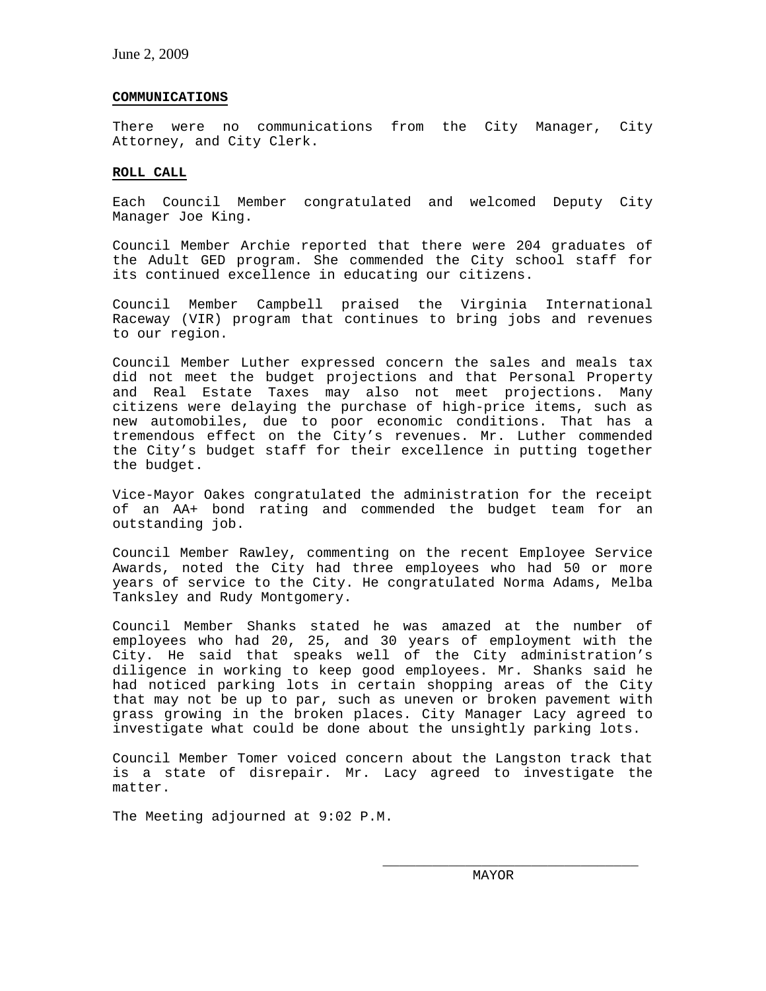### **COMMUNICATIONS**

There were no communications from the City Manager, City Attorney, and City Clerk.

# **ROLL CALL**

Each Council Member congratulated and welcomed Deputy City Manager Joe King.

Council Member Archie reported that there were 204 graduates of the Adult GED program. She commended the City school staff for its continued excellence in educating our citizens.

Council Member Campbell praised the Virginia International Raceway (VIR) program that continues to bring jobs and revenues to our region.

Council Member Luther expressed concern the sales and meals tax did not meet the budget projections and that Personal Property and Real Estate Taxes may also not meet projections. Many citizens were delaying the purchase of high-price items, such as new automobiles, due to poor economic conditions. That has a tremendous effect on the City's revenues. Mr. Luther commended the City's budget staff for their excellence in putting together the budget.

Vice-Mayor Oakes congratulated the administration for the receipt of an AA+ bond rating and commended the budget team for an outstanding job.

Council Member Rawley, commenting on the recent Employee Service Awards, noted the City had three employees who had 50 or more years of service to the City. He congratulated Norma Adams, Melba Tanksley and Rudy Montgomery.

Council Member Shanks stated he was amazed at the number of employees who had 20, 25, and 30 years of employment with the City. He said that speaks well of the City administration's diligence in working to keep good employees. Mr. Shanks said he had noticed parking lots in certain shopping areas of the City that may not be up to par, such as uneven or broken pavement with grass growing in the broken places. City Manager Lacy agreed to investigate what could be done about the unsightly parking lots.

Council Member Tomer voiced concern about the Langston track that is a state of disrepair. Mr. Lacy agreed to investigate the matter.

The Meeting adjourned at 9:02 P.M.

\_\_\_\_\_\_\_\_\_\_\_\_\_\_\_\_\_\_\_\_\_\_\_\_\_\_\_\_\_\_\_